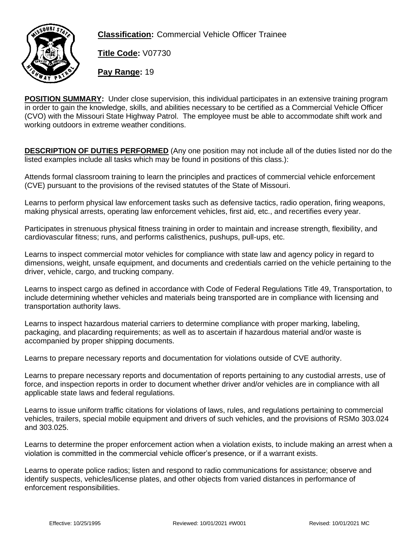

**Classification:** Commercial Vehicle Officer Trainee

**Title Code:** V07730

**Pay Range:** 19

**POSITION SUMMARY:** Under close supervision, this individual participates in an extensive training program in order to gain the knowledge, skills, and abilities necessary to be certified as a Commercial Vehicle Officer (CVO) with the Missouri State Highway Patrol. The employee must be able to accommodate shift work and working outdoors in extreme weather conditions.

**DESCRIPTION OF DUTIES PERFORMED** (Any one position may not include all of the duties listed nor do the listed examples include all tasks which may be found in positions of this class.):

Attends formal classroom training to learn the principles and practices of commercial vehicle enforcement (CVE) pursuant to the provisions of the revised statutes of the State of Missouri.

Learns to perform physical law enforcement tasks such as defensive tactics, radio operation, firing weapons, making physical arrests, operating law enforcement vehicles, first aid, etc., and recertifies every year.

Participates in strenuous physical fitness training in order to maintain and increase strength, flexibility, and cardiovascular fitness; runs, and performs calisthenics, pushups, pull-ups, etc.

Learns to inspect commercial motor vehicles for compliance with state law and agency policy in regard to dimensions, weight, unsafe equipment, and documents and credentials carried on the vehicle pertaining to the driver, vehicle, cargo, and trucking company.

Learns to inspect cargo as defined in accordance with Code of Federal Regulations Title 49, Transportation, to include determining whether vehicles and materials being transported are in compliance with licensing and transportation authority laws.

Learns to inspect hazardous material carriers to determine compliance with proper marking, labeling, packaging, and placarding requirements; as well as to ascertain if hazardous material and/or waste is accompanied by proper shipping documents.

Learns to prepare necessary reports and documentation for violations outside of CVE authority.

Learns to prepare necessary reports and documentation of reports pertaining to any custodial arrests, use of force, and inspection reports in order to document whether driver and/or vehicles are in compliance with all applicable state laws and federal regulations.

Learns to issue uniform traffic citations for violations of laws, rules, and regulations pertaining to commercial vehicles, trailers, special mobile equipment and drivers of such vehicles, and the provisions of RSMo 303.024 and 303.025.

Learns to determine the proper enforcement action when a violation exists, to include making an arrest when a violation is committed in the commercial vehicle officer's presence, or if a warrant exists.

Learns to operate police radios; listen and respond to radio communications for assistance; observe and identify suspects, vehicles/license plates, and other objects from varied distances in performance of enforcement responsibilities.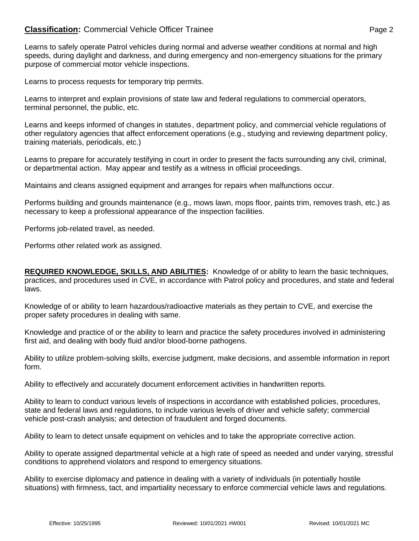## **Classification:** Commercial Vehicle Officer Trainee **Page 2** Page 2

Learns to safely operate Patrol vehicles during normal and adverse weather conditions at normal and high speeds, during daylight and darkness, and during emergency and non-emergency situations for the primary purpose of commercial motor vehicle inspections.

Learns to process requests for temporary trip permits.

Learns to interpret and explain provisions of state law and federal regulations to commercial operators, terminal personnel, the public, etc.

Learns and keeps informed of changes in statutes , department policy, and commercial vehicle regulations of other regulatory agencies that affect enforcement operations (e.g., studying and reviewing department policy, training materials, periodicals, etc.)

Learns to prepare for accurately testifying in court in order to present the facts surrounding any civil, criminal, or departmental action. May appear and testify as a witness in official proceedings.

Maintains and cleans assigned equipment and arranges for repairs when malfunctions occur.

Performs building and grounds maintenance (e.g., mows lawn, mops floor, paints trim, removes trash, etc.) as necessary to keep a professional appearance of the inspection facilities.

Performs job-related travel, as needed.

Performs other related work as assigned.

**REQUIRED KNOWLEDGE, SKILLS, AND ABILITIES:** Knowledge of or ability to learn the basic techniques, practices, and procedures used in CVE, in accordance with Patrol policy and procedures, and state and federal laws.

Knowledge of or ability to learn hazardous/radioactive materials as they pertain to CVE, and exercise the proper safety procedures in dealing with same.

Knowledge and practice of or the ability to learn and practice the safety procedures involved in administering first aid, and dealing with body fluid and/or blood-borne pathogens.

Ability to utilize problem-solving skills, exercise judgment, make decisions, and assemble information in report form.

Ability to effectively and accurately document enforcement activities in handwritten reports.

Ability to learn to conduct various levels of inspections in accordance with established policies, procedures, state and federal laws and regulations, to include various levels of driver and vehicle safety; commercial vehicle post-crash analysis; and detection of fraudulent and forged documents.

Ability to learn to detect unsafe equipment on vehicles and to take the appropriate corrective action.

Ability to operate assigned departmental vehicle at a high rate of speed as needed and under varying, stressful conditions to apprehend violators and respond to emergency situations.

Ability to exercise diplomacy and patience in dealing with a variety of individuals (in potentially hostile situations) with firmness, tact, and impartiality necessary to enforce commercial vehicle laws and regulations.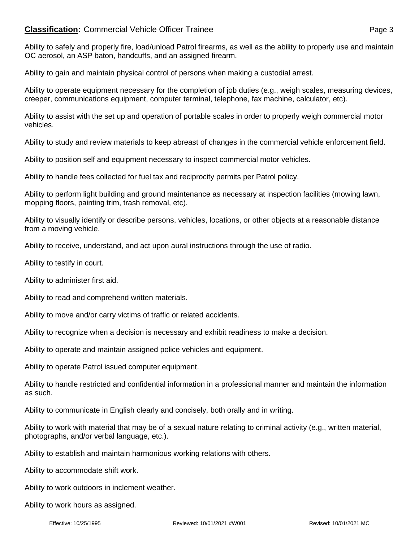## **Classification:** Commercial Vehicle Officer Trainee **Page 3** Page 3

Ability to safely and properly fire, load/unload Patrol firearms, as well as the ability to properly use and maintain OC aerosol, an ASP baton, handcuffs, and an assigned firearm.

Ability to gain and maintain physical control of persons when making a custodial arrest.

Ability to operate equipment necessary for the completion of job duties (e.g., weigh scales, measuring devices, creeper, communications equipment, computer terminal, telephone, fax machine, calculator, etc).

Ability to assist with the set up and operation of portable scales in order to properly weigh commercial motor vehicles.

Ability to study and review materials to keep abreast of changes in the commercial vehicle enforcement field.

Ability to position self and equipment necessary to inspect commercial motor vehicles.

Ability to handle fees collected for fuel tax and reciprocity permits per Patrol policy.

Ability to perform light building and ground maintenance as necessary at inspection facilities (mowing lawn, mopping floors, painting trim, trash removal, etc).

Ability to visually identify or describe persons, vehicles, locations, or other objects at a reasonable distance from a moving vehicle.

Ability to receive, understand, and act upon aural instructions through the use of radio.

Ability to testify in court.

Ability to administer first aid.

Ability to read and comprehend written materials.

Ability to move and/or carry victims of traffic or related accidents.

Ability to recognize when a decision is necessary and exhibit readiness to make a decision.

Ability to operate and maintain assigned police vehicles and equipment.

Ability to operate Patrol issued computer equipment.

Ability to handle restricted and confidential information in a professional manner and maintain the information as such.

Ability to communicate in English clearly and concisely, both orally and in writing.

Ability to work with material that may be of a sexual nature relating to criminal activity (e.g., written material, photographs, and/or verbal language, etc.).

Ability to establish and maintain harmonious working relations with others.

Ability to accommodate shift work.

Ability to work outdoors in inclement weather.

Ability to work hours as assigned.